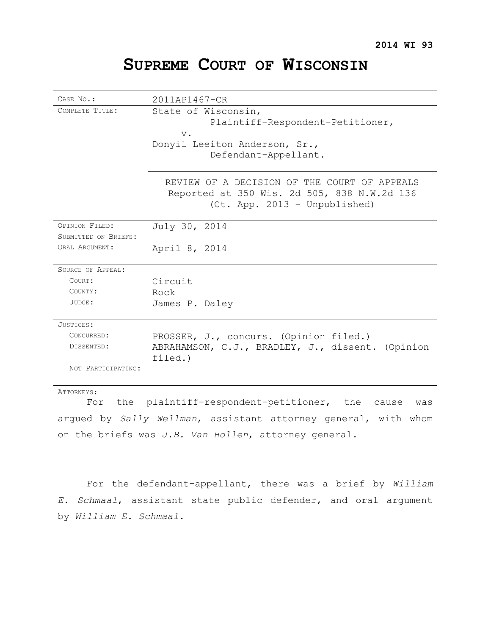# **SUPREME COURT OF WISCONSIN**

| CASE No.:                | 2011AP1467-CR                                               |  |  |  |  |  |  |
|--------------------------|-------------------------------------------------------------|--|--|--|--|--|--|
| COMPLETE TITLE:          | State of Wisconsin,                                         |  |  |  |  |  |  |
|                          | Plaintiff-Respondent-Petitioner,                            |  |  |  |  |  |  |
|                          | $V$ .                                                       |  |  |  |  |  |  |
|                          | Donyil Leeiton Anderson, Sr.,                               |  |  |  |  |  |  |
|                          | Defendant-Appellant.                                        |  |  |  |  |  |  |
|                          |                                                             |  |  |  |  |  |  |
|                          | REVIEW OF A DECISION OF THE COURT OF APPEALS                |  |  |  |  |  |  |
|                          | Reported at 350 Wis. 2d 505, 838 N.W.2d 136                 |  |  |  |  |  |  |
|                          | (Ct. App. 2013 - Unpublished)                               |  |  |  |  |  |  |
|                          |                                                             |  |  |  |  |  |  |
| OPINION FILED:           | July 30, 2014                                               |  |  |  |  |  |  |
| SUBMITTED ON BRIEFS:     |                                                             |  |  |  |  |  |  |
| ORAL ARGUMENT:           | April 8, 2014                                               |  |  |  |  |  |  |
| <b>SOURCE OF APPEAL:</b> |                                                             |  |  |  |  |  |  |
| COURT:                   | Circuit                                                     |  |  |  |  |  |  |
| COUNTY:                  | Rock                                                        |  |  |  |  |  |  |
| JUDGE:                   | James P. Daley                                              |  |  |  |  |  |  |
|                          |                                                             |  |  |  |  |  |  |
| JUSTICES:                |                                                             |  |  |  |  |  |  |
| CONCURRED:               | PROSSER, J., concurs. (Opinion filed.)                      |  |  |  |  |  |  |
| DISSENTED:               | ABRAHAMSON, C.J., BRADLEY, J., dissent. (Opinion<br>filed.) |  |  |  |  |  |  |
| NOT PARTICIPATING:       |                                                             |  |  |  |  |  |  |
| ATTORNEYS:               |                                                             |  |  |  |  |  |  |

For the plaintiff-respondent-petitioner, the cause was argued by *Sally Wellman*, assistant attorney general, with whom on the briefs was *J.B. Van Hollen*, attorney general.

For the defendant-appellant, there was a brief by *William E. Schmaal*, assistant state public defender, and oral argument by *William E. Schmaal*.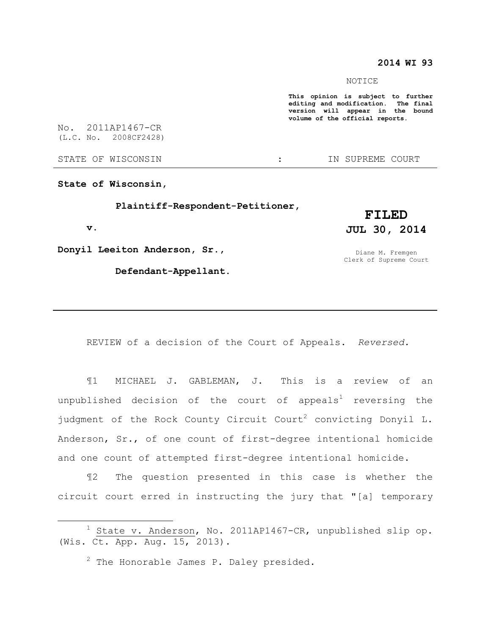# **2014 WI 93**

NOTICE

**This opinion is subject to further editing and modification. The final version will appear in the bound volume of the official reports.** 

No. 2011AP1467-CR (L.C. No. 2008CF2428)

STATE OF WISCONSIN THE RESERVE STATE OF WISCONSIN THE SERVER SOURT

**State of Wisconsin,**

 **Plaintiff-Respondent-Petitioner,**

 **v.**

 $\overline{a}$ 

**Donyil Leeiton Anderson, Sr.,**

 **Defendant-Appellant.**

**FILED JUL 30, 2014**

Diane M. Fremgen Clerk of Supreme Court

REVIEW of a decision of the Court of Appeals. *Reversed.*

¶1 MICHAEL J. GABLEMAN, J. This is a review of an unpublished decision of the court of appeals<sup>1</sup> reversing the judgment of the Rock County Circuit Court<sup>2</sup> convicting Donyil L. Anderson, Sr., of one count of first-degree intentional homicide and one count of attempted first-degree intentional homicide.

¶2 The question presented in this case is whether the circuit court erred in instructing the jury that "[a] temporary

 $1$  State v. Anderson, No. 2011AP1467-CR, unpublished slip op. (Wis. Ct. App. Aug. 15, 2013).

 $2$  The Honorable James P. Daley presided.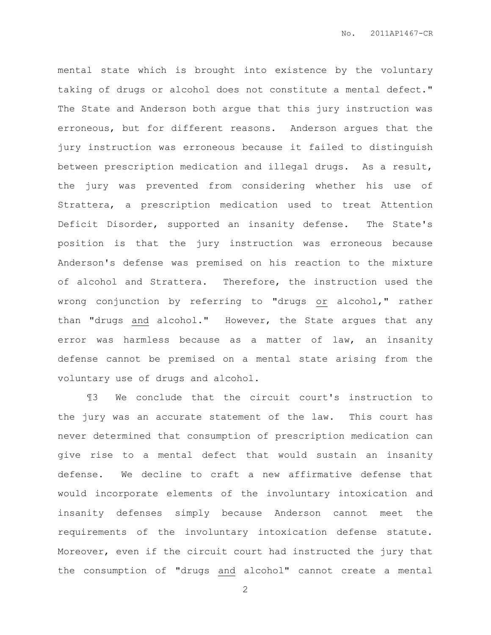mental state which is brought into existence by the voluntary taking of drugs or alcohol does not constitute a mental defect." The State and Anderson both argue that this jury instruction was erroneous, but for different reasons. Anderson argues that the jury instruction was erroneous because it failed to distinguish between prescription medication and illegal drugs. As a result, the jury was prevented from considering whether his use of Strattera, a prescription medication used to treat Attention Deficit Disorder, supported an insanity defense. The State's position is that the jury instruction was erroneous because Anderson's defense was premised on his reaction to the mixture of alcohol and Strattera. Therefore, the instruction used the wrong conjunction by referring to "drugs or alcohol," rather than "drugs and alcohol." However, the State argues that any error was harmless because as a matter of law, an insanity defense cannot be premised on a mental state arising from the voluntary use of drugs and alcohol.

¶3 We conclude that the circuit court's instruction to the jury was an accurate statement of the law. This court has never determined that consumption of prescription medication can give rise to a mental defect that would sustain an insanity defense. We decline to craft a new affirmative defense that would incorporate elements of the involuntary intoxication and insanity defenses simply because Anderson cannot meet the requirements of the involuntary intoxication defense statute. Moreover, even if the circuit court had instructed the jury that the consumption of "drugs and alcohol" cannot create a mental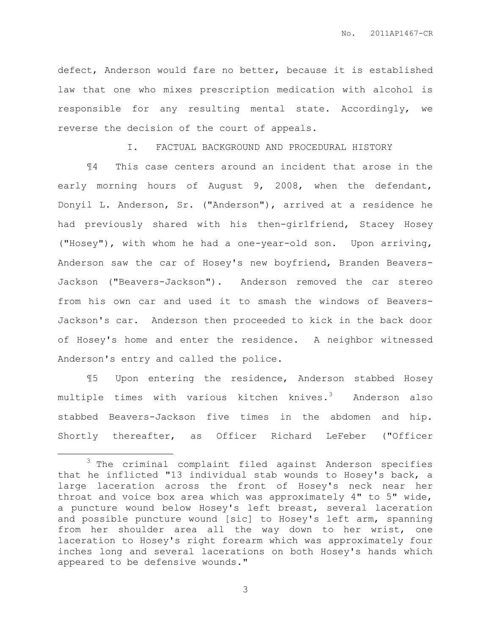defect, Anderson would fare no better, because it is established law that one who mixes prescription medication with alcohol is responsible for any resulting mental state. Accordingly, we reverse the decision of the court of appeals.

I. FACTUAL BACKGROUND AND PROCEDURAL HISTORY

¶4 This case centers around an incident that arose in the early morning hours of August 9, 2008, when the defendant, Donyil L. Anderson, Sr. ("Anderson"), arrived at a residence he had previously shared with his then-girlfriend, Stacey Hosey ("Hosey"), with whom he had a one-year-old son. Upon arriving, Anderson saw the car of Hosey's new boyfriend, Branden Beavers-Jackson ("Beavers-Jackson"). Anderson removed the car stereo from his own car and used it to smash the windows of Beavers-Jackson's car. Anderson then proceeded to kick in the back door of Hosey's home and enter the residence. A neighbor witnessed Anderson's entry and called the police.

¶5 Upon entering the residence, Anderson stabbed Hosey multiple times with various kitchen knives. $3$  Anderson also stabbed Beavers-Jackson five times in the abdomen and hip. Shortly thereafter, as Officer Richard LeFeber ("Officer

 $\overline{a}$ 

<sup>3</sup> The criminal complaint filed against Anderson specifies that he inflicted "13 individual stab wounds to Hosey's back, a large laceration across the front of Hosey's neck near her throat and voice box area which was approximately 4" to 5" wide, a puncture wound below Hosey's left breast, several laceration and possible puncture wound [sic] to Hosey's left arm, spanning from her shoulder area all the way down to her wrist, one laceration to Hosey's right forearm which was approximately four inches long and several lacerations on both Hosey's hands which appeared to be defensive wounds."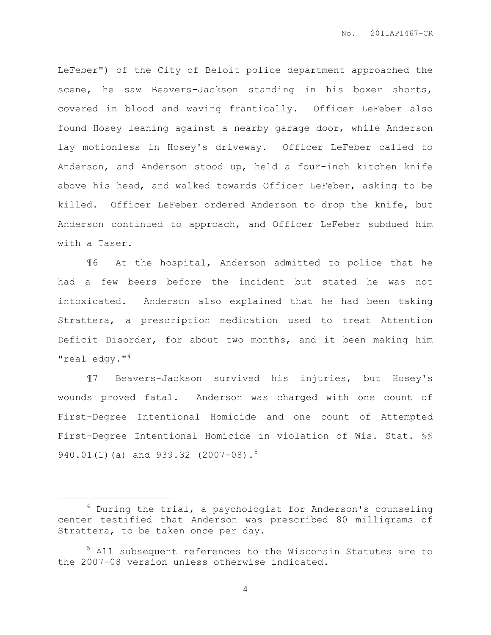LeFeber") of the City of Beloit police department approached the scene, he saw Beavers-Jackson standing in his boxer shorts, covered in blood and waving frantically. Officer LeFeber also found Hosey leaning against a nearby garage door, while Anderson lay motionless in Hosey's driveway. Officer LeFeber called to Anderson, and Anderson stood up, held a four-inch kitchen knife above his head, and walked towards Officer LeFeber, asking to be killed. Officer LeFeber ordered Anderson to drop the knife, but Anderson continued to approach, and Officer LeFeber subdued him with a Taser.

¶6 At the hospital, Anderson admitted to police that he had a few beers before the incident but stated he was not intoxicated. Anderson also explained that he had been taking Strattera, a prescription medication used to treat Attention Deficit Disorder, for about two months, and it been making him "real edgy." $4$ 

¶7 Beavers-Jackson survived his injuries, but Hosey's wounds proved fatal. Anderson was charged with one count of First-Degree Intentional Homicide and one count of Attempted First-Degree Intentional Homicide in violation of Wis. Stat. §§ 940.01(1)(a) and 939.32 (2007-08).<sup>5</sup>

 $\overline{a}$ 

 $4$  During the trial, a psychologist for Anderson's counseling center testified that Anderson was prescribed 80 milligrams of Strattera, to be taken once per day.

<sup>&</sup>lt;sup>5</sup> All subsequent references to the Wisconsin Statutes are to the 2007-08 version unless otherwise indicated.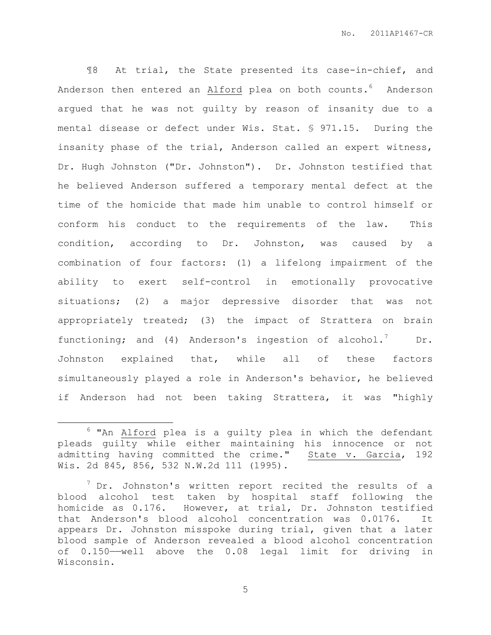¶8 At trial, the State presented its case-in-chief, and Anderson then entered an Alford plea on both counts.<sup>6</sup> Anderson argued that he was not guilty by reason of insanity due to a mental disease or defect under Wis. Stat. § 971.15. During the insanity phase of the trial, Anderson called an expert witness, Dr. Hugh Johnston ("Dr. Johnston"). Dr. Johnston testified that he believed Anderson suffered a temporary mental defect at the time of the homicide that made him unable to control himself or conform his conduct to the requirements of the law. This condition, according to Dr. Johnston, was caused by a combination of four factors: (1) a lifelong impairment of the ability to exert self-control in emotionally provocative situations; (2) a major depressive disorder that was not appropriately treated; (3) the impact of Strattera on brain functioning; and (4) Anderson's ingestion of alcohol.<sup>7</sup> Dr. Johnston explained that, while all of these factors simultaneously played a role in Anderson's behavior, he believed if Anderson had not been taking Strattera, it was "highly

 $\overline{a}$ 

 $6$  "An Alford plea is a quilty plea in which the defendant pleads guilty while either maintaining his innocence or not admitting having committed the crime." State v. Garcia, 192 Wis. 2d 845, 856, 532 N.W.2d 111 (1995).

 $7$  Dr. Johnston's written report recited the results of a blood alcohol test taken by hospital staff following the homicide as 0.176. However, at trial, Dr. Johnston testified that Anderson's blood alcohol concentration was 0.0176. It appears Dr. Johnston misspoke during trial, given that a later blood sample of Anderson revealed a blood alcohol concentration of 0.150——well above the 0.08 legal limit for driving in Wisconsin.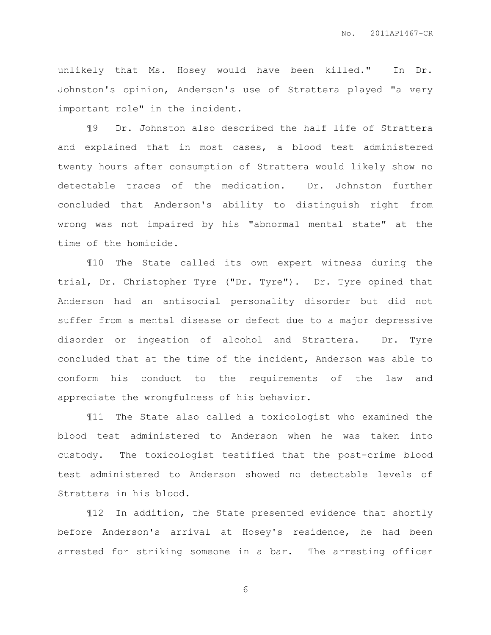unlikely that Ms. Hosey would have been killed." In Dr. Johnston's opinion, Anderson's use of Strattera played "a very important role" in the incident.

¶9 Dr. Johnston also described the half life of Strattera and explained that in most cases, a blood test administered twenty hours after consumption of Strattera would likely show no detectable traces of the medication. Dr. Johnston further concluded that Anderson's ability to distinguish right from wrong was not impaired by his "abnormal mental state" at the time of the homicide.

¶10 The State called its own expert witness during the trial, Dr. Christopher Tyre ("Dr. Tyre"). Dr. Tyre opined that Anderson had an antisocial personality disorder but did not suffer from a mental disease or defect due to a major depressive disorder or ingestion of alcohol and Strattera. Dr. Tyre concluded that at the time of the incident, Anderson was able to conform his conduct to the requirements of the law and appreciate the wrongfulness of his behavior.

¶11 The State also called a toxicologist who examined the blood test administered to Anderson when he was taken into custody. The toxicologist testified that the post-crime blood test administered to Anderson showed no detectable levels of Strattera in his blood.

¶12 In addition, the State presented evidence that shortly before Anderson's arrival at Hosey's residence, he had been arrested for striking someone in a bar. The arresting officer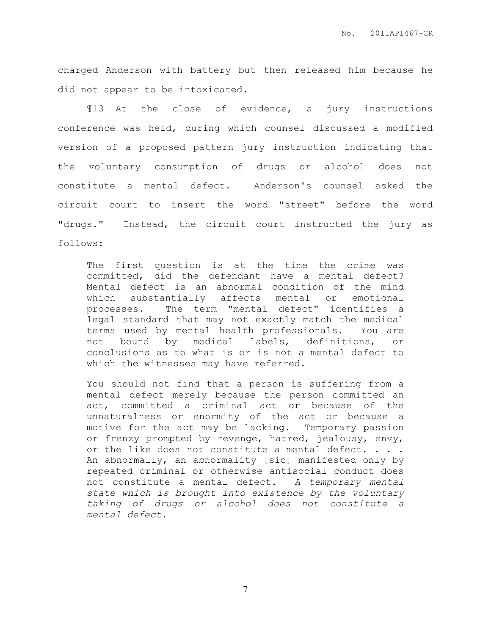charged Anderson with battery but then released him because he did not appear to be intoxicated.

¶13 At the close of evidence, a jury instructions conference was held, during which counsel discussed a modified version of a proposed pattern jury instruction indicating that the voluntary consumption of drugs or alcohol does not constitute a mental defect. Anderson's counsel asked the circuit court to insert the word "street" before the word "drugs." Instead, the circuit court instructed the jury as follows:

The first question is at the time the crime was committed, did the defendant have a mental defect? Mental defect is an abnormal condition of the mind which substantially affects mental or emotional processes. The term "mental defect" identifies a legal standard that may not exactly match the medical terms used by mental health professionals. You are not bound by medical labels, definitions, or conclusions as to what is or is not a mental defect to which the witnesses may have referred.

You should not find that a person is suffering from a mental defect merely because the person committed an act, committed a criminal act or because of the unnaturalness or enormity of the act or because a motive for the act may be lacking. Temporary passion or frenzy prompted by revenge, hatred, jealousy, envy, or the like does not constitute a mental defect. . . . An abnormally, an abnormality [sic] manifested only by repeated criminal or otherwise antisocial conduct does not constitute a mental defect. *A temporary mental state which is brought into existence by the voluntary taking of drugs or alcohol does not constitute a mental defect*.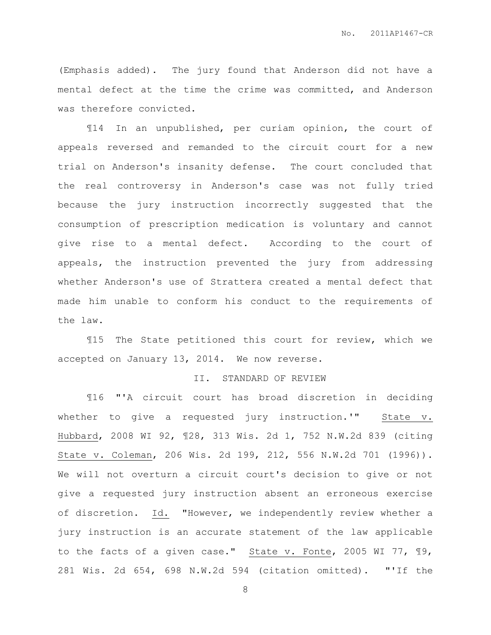(Emphasis added). The jury found that Anderson did not have a mental defect at the time the crime was committed, and Anderson was therefore convicted.

¶14 In an unpublished, per curiam opinion, the court of appeals reversed and remanded to the circuit court for a new trial on Anderson's insanity defense. The court concluded that the real controversy in Anderson's case was not fully tried because the jury instruction incorrectly suggested that the consumption of prescription medication is voluntary and cannot give rise to a mental defect. According to the court of appeals, the instruction prevented the jury from addressing whether Anderson's use of Strattera created a mental defect that made him unable to conform his conduct to the requirements of the law.

¶15 The State petitioned this court for review, which we accepted on January 13, 2014. We now reverse.

#### II. STANDARD OF REVIEW

¶16 "'A circuit court has broad discretion in deciding whether to give a requested jury instruction.'" State v. Hubbard, 2008 WI 92, ¶28, 313 Wis. 2d 1, 752 N.W.2d 839 (citing State v. Coleman, 206 Wis. 2d 199, 212, 556 N.W.2d 701 (1996)). We will not overturn a circuit court's decision to give or not give a requested jury instruction absent an erroneous exercise of discretion. Id. "However, we independently review whether a jury instruction is an accurate statement of the law applicable to the facts of a given case." State v. Fonte, 2005 WI 77, ¶9, 281 Wis. 2d 654, 698 N.W.2d 594 (citation omitted). "'If the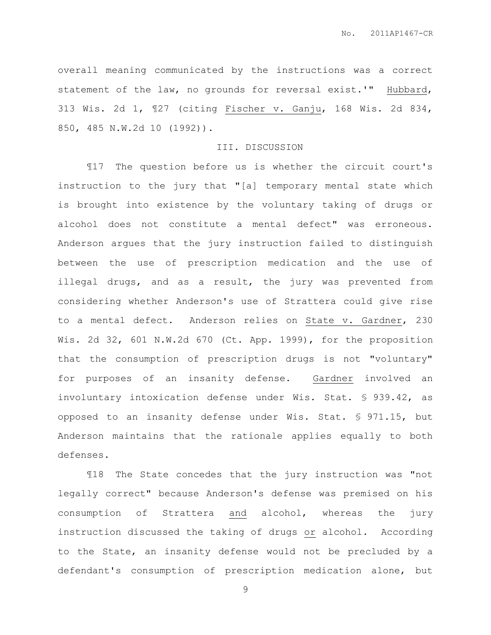overall meaning communicated by the instructions was a correct statement of the law, no grounds for reversal exist.'" Hubbard, 313 Wis. 2d 1, ¶27 (citing Fischer v. Ganju, 168 Wis. 2d 834, 850, 485 N.W.2d 10 (1992)).

## III. DISCUSSION

¶17 The question before us is whether the circuit court's instruction to the jury that "[a] temporary mental state which is brought into existence by the voluntary taking of drugs or alcohol does not constitute a mental defect" was erroneous. Anderson argues that the jury instruction failed to distinguish between the use of prescription medication and the use of illegal drugs, and as a result, the jury was prevented from considering whether Anderson's use of Strattera could give rise to a mental defect. Anderson relies on State v. Gardner, 230 Wis. 2d 32, 601 N.W.2d 670 (Ct. App. 1999), for the proposition that the consumption of prescription drugs is not "voluntary" for purposes of an insanity defense. Gardner involved an involuntary intoxication defense under Wis. Stat. § 939.42, as opposed to an insanity defense under Wis. Stat. § 971.15, but Anderson maintains that the rationale applies equally to both defenses.

¶18 The State concedes that the jury instruction was "not legally correct" because Anderson's defense was premised on his consumption of Strattera and alcohol, whereas the jury instruction discussed the taking of drugs or alcohol. According to the State, an insanity defense would not be precluded by a defendant's consumption of prescription medication alone, but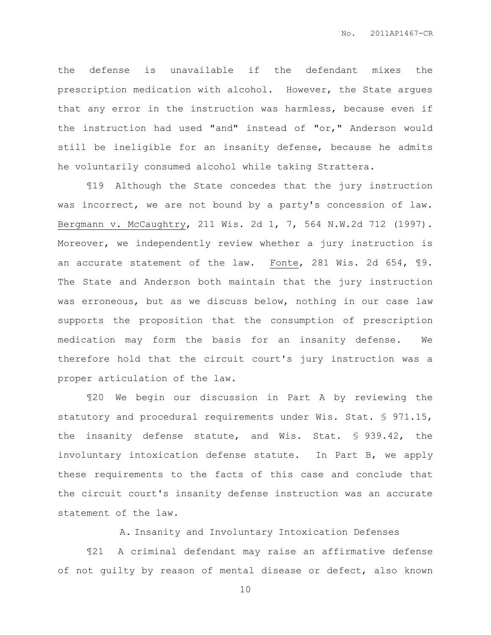the defense is unavailable if the defendant mixes the prescription medication with alcohol. However, the State argues that any error in the instruction was harmless, because even if the instruction had used "and" instead of "or," Anderson would still be ineligible for an insanity defense, because he admits he voluntarily consumed alcohol while taking Strattera.

¶19 Although the State concedes that the jury instruction was incorrect, we are not bound by a party's concession of law. Bergmann v. McCaughtry, 211 Wis. 2d 1, 7, 564 N.W.2d 712 (1997). Moreover, we independently review whether a jury instruction is an accurate statement of the law. Fonte, 281 Wis. 2d 654, ¶9. The State and Anderson both maintain that the jury instruction was erroneous, but as we discuss below, nothing in our case law supports the proposition that the consumption of prescription medication may form the basis for an insanity defense. We therefore hold that the circuit court's jury instruction was a proper articulation of the law.

¶20 We begin our discussion in Part A by reviewing the statutory and procedural requirements under Wis. Stat. § 971.15, the insanity defense statute, and Wis. Stat. § 939.42, the involuntary intoxication defense statute. In Part B, we apply these requirements to the facts of this case and conclude that the circuit court's insanity defense instruction was an accurate statement of the law.

### A. Insanity and Involuntary Intoxication Defenses

¶21 A criminal defendant may raise an affirmative defense of not guilty by reason of mental disease or defect, also known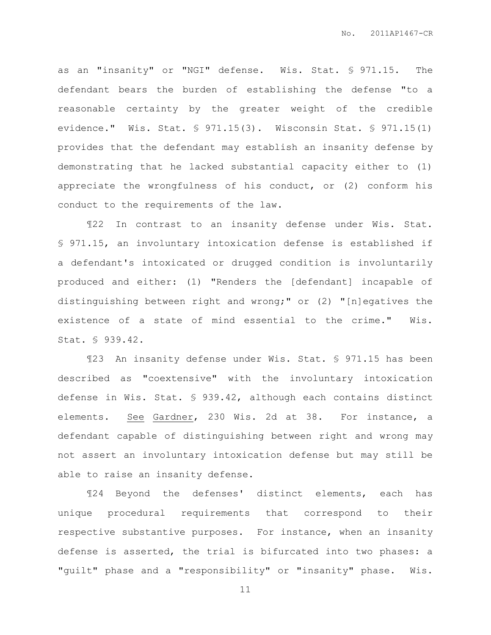as an "insanity" or "NGI" defense. Wis. Stat. § 971.15. The defendant bears the burden of establishing the defense "to a reasonable certainty by the greater weight of the credible evidence." Wis. Stat. § 971.15(3). Wisconsin Stat. § 971.15(1) provides that the defendant may establish an insanity defense by demonstrating that he lacked substantial capacity either to (1) appreciate the wrongfulness of his conduct, or (2) conform his conduct to the requirements of the law.

¶22 In contrast to an insanity defense under Wis. Stat. § 971.15, an involuntary intoxication defense is established if a defendant's intoxicated or drugged condition is involuntarily produced and either: (1) "Renders the [defendant] incapable of distinguishing between right and wrong;" or (2) "[n]egatives the existence of a state of mind essential to the crime." Wis. Stat. § 939.42.

¶23 An insanity defense under Wis. Stat. § 971.15 has been described as "coextensive" with the involuntary intoxication defense in Wis. Stat. § 939.42, although each contains distinct elements. See Gardner, 230 Wis. 2d at 38. For instance, a defendant capable of distinguishing between right and wrong may not assert an involuntary intoxication defense but may still be able to raise an insanity defense.

¶24 Beyond the defenses' distinct elements, each has unique procedural requirements that correspond to their respective substantive purposes. For instance, when an insanity defense is asserted, the trial is bifurcated into two phases: a "guilt" phase and a "responsibility" or "insanity" phase. Wis.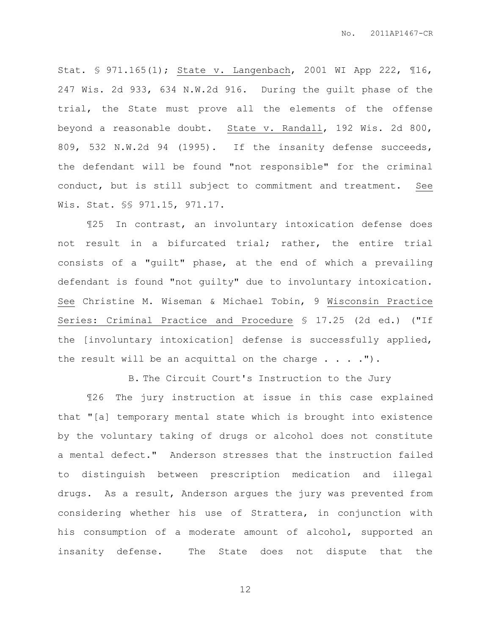Stat. § 971.165(1); State v. Langenbach, 2001 WI App 222, ¶16, 247 Wis. 2d 933, 634 N.W.2d 916. During the guilt phase of the trial, the State must prove all the elements of the offense beyond a reasonable doubt. State v. Randall, 192 Wis. 2d 800, 809, 532 N.W.2d 94 (1995). If the insanity defense succeeds, the defendant will be found "not responsible" for the criminal conduct, but is still subject to commitment and treatment. See Wis. Stat. §§ 971.15, 971.17.

¶25 In contrast, an involuntary intoxication defense does not result in a bifurcated trial; rather, the entire trial consists of a "guilt" phase, at the end of which a prevailing defendant is found "not guilty" due to involuntary intoxication. See Christine M. Wiseman & Michael Tobin, 9 Wisconsin Practice Series: Criminal Practice and Procedure § 17.25 (2d ed.) ("If the [involuntary intoxication] defense is successfully applied, the result will be an acquittal on the charge  $\ldots$ .").

B. The Circuit Court's Instruction to the Jury

¶26 The jury instruction at issue in this case explained that "[a] temporary mental state which is brought into existence by the voluntary taking of drugs or alcohol does not constitute a mental defect." Anderson stresses that the instruction failed to distinguish between prescription medication and illegal drugs. As a result, Anderson argues the jury was prevented from considering whether his use of Strattera, in conjunction with his consumption of a moderate amount of alcohol, supported an insanity defense. The State does not dispute that the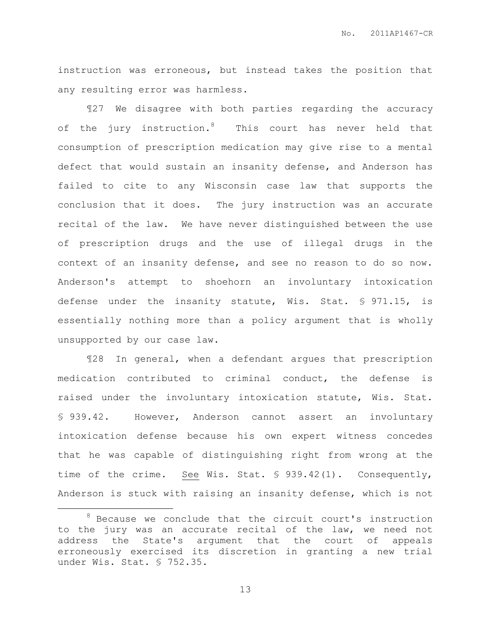instruction was erroneous, but instead takes the position that any resulting error was harmless.

¶27 We disagree with both parties regarding the accuracy of the jury instruction.<sup>8</sup> This court has never held that consumption of prescription medication may give rise to a mental defect that would sustain an insanity defense, and Anderson has failed to cite to any Wisconsin case law that supports the conclusion that it does. The jury instruction was an accurate recital of the law. We have never distinguished between the use of prescription drugs and the use of illegal drugs in the context of an insanity defense, and see no reason to do so now. Anderson's attempt to shoehorn an involuntary intoxication defense under the insanity statute, Wis. Stat. § 971.15, is essentially nothing more than a policy argument that is wholly unsupported by our case law.

¶28 In general, when a defendant argues that prescription medication contributed to criminal conduct, the defense is raised under the involuntary intoxication statute, Wis. Stat. § 939.42. However, Anderson cannot assert an involuntary intoxication defense because his own expert witness concedes that he was capable of distinguishing right from wrong at the time of the crime. See Wis. Stat. § 939.42(1). Consequently, Anderson is stuck with raising an insanity defense, which is not

 $\overline{a}$ 

<sup>8</sup> Because we conclude that the circuit court's instruction to the jury was an accurate recital of the law, we need not address the State's argument that the court of appeals erroneously exercised its discretion in granting a new trial under Wis. Stat. § 752.35.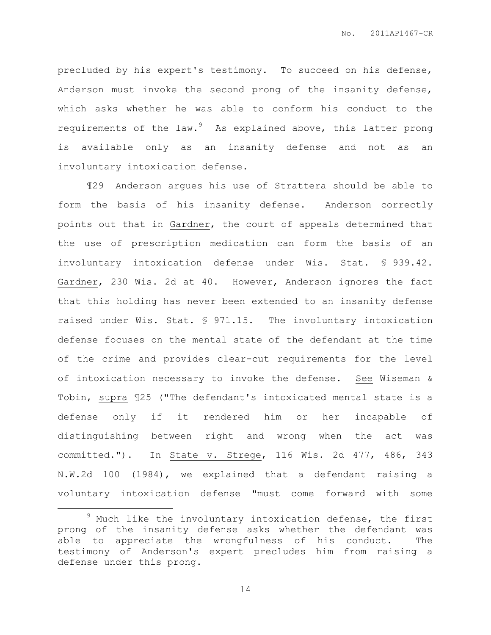precluded by his expert's testimony. To succeed on his defense, Anderson must invoke the second prong of the insanity defense, which asks whether he was able to conform his conduct to the requirements of the law. $9$  As explained above, this latter prong is available only as an insanity defense and not as an involuntary intoxication defense.

¶29 Anderson argues his use of Strattera should be able to form the basis of his insanity defense. Anderson correctly points out that in Gardner, the court of appeals determined that the use of prescription medication can form the basis of an involuntary intoxication defense under Wis. Stat. § 939.42. Gardner, 230 Wis. 2d at 40. However, Anderson ignores the fact that this holding has never been extended to an insanity defense raised under Wis. Stat. § 971.15. The involuntary intoxication defense focuses on the mental state of the defendant at the time of the crime and provides clear-cut requirements for the level of intoxication necessary to invoke the defense. See Wiseman & Tobin, supra ¶25 ("The defendant's intoxicated mental state is a defense only if it rendered him or her incapable of distinguishing between right and wrong when the act was committed."). In State v. Strege, 116 Wis. 2d 477, 486, 343 N.W.2d 100 (1984), we explained that a defendant raising a voluntary intoxication defense "must come forward with some

 $\overline{a}$ 

 $9$  Much like the involuntary intoxication defense, the first prong of the insanity defense asks whether the defendant was able to appreciate the wrongfulness of his conduct. The testimony of Anderson's expert precludes him from raising a defense under this prong.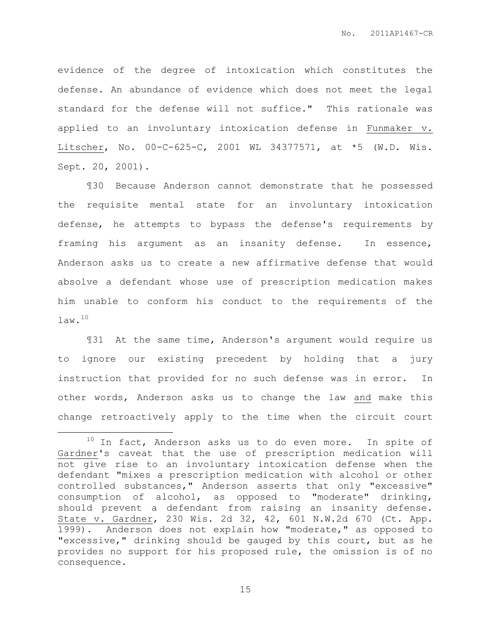evidence of the degree of intoxication which constitutes the defense. An abundance of evidence which does not meet the legal standard for the defense will not suffice." This rationale was applied to an involuntary intoxication defense in Funmaker v. Litscher, No. 00-C-625-C, 2001 WL 34377571, at \*5 (W.D. Wis. Sept. 20, 2001).

¶30 Because Anderson cannot demonstrate that he possessed the requisite mental state for an involuntary intoxication defense, he attempts to bypass the defense's requirements by framing his argument as an insanity defense. In essence, Anderson asks us to create a new affirmative defense that would absolve a defendant whose use of prescription medication makes him unable to conform his conduct to the requirements of the law.<sup>10</sup>

¶31 At the same time, Anderson's argument would require us to ignore our existing precedent by holding that a jury instruction that provided for no such defense was in error. In other words, Anderson asks us to change the law and make this change retroactively apply to the time when the circuit court

 $\overline{a}$ 

 $10$  In fact, Anderson asks us to do even more. In spite of Gardner's caveat that the use of prescription medication will not give rise to an involuntary intoxication defense when the defendant "mixes a prescription medication with alcohol or other controlled substances," Anderson asserts that only "excessive" consumption of alcohol, as opposed to "moderate" drinking, should prevent a defendant from raising an insanity defense. State v. Gardner, 230 Wis. 2d 32, 42, 601 N.W.2d 670 (Ct. App. 1999). Anderson does not explain how "moderate," as opposed to "excessive," drinking should be gauged by this court, but as he provides no support for his proposed rule, the omission is of no consequence.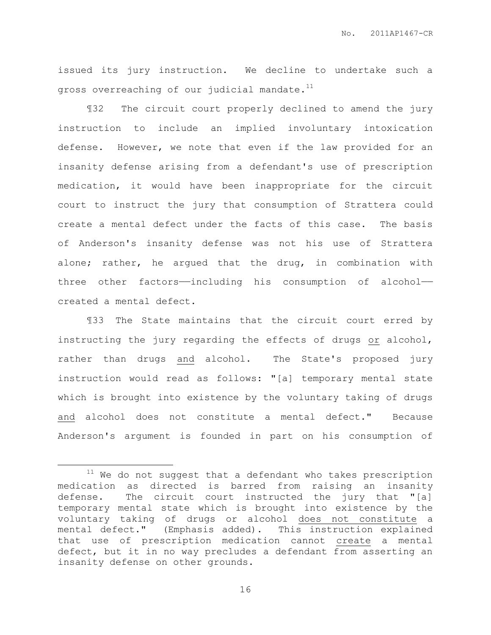issued its jury instruction. We decline to undertake such a gross overreaching of our judicial mandate.<sup>11</sup>

¶32 The circuit court properly declined to amend the jury instruction to include an implied involuntary intoxication defense. However, we note that even if the law provided for an insanity defense arising from a defendant's use of prescription medication, it would have been inappropriate for the circuit court to instruct the jury that consumption of Strattera could create a mental defect under the facts of this case. The basis of Anderson's insanity defense was not his use of Strattera alone; rather, he argued that the drug, in combination with three other factors—including his consumption of alcohol created a mental defect.

¶33 The State maintains that the circuit court erred by instructing the jury regarding the effects of drugs or alcohol, rather than drugs and alcohol. The State's proposed jury instruction would read as follows: "[a] temporary mental state which is brought into existence by the voluntary taking of drugs and alcohol does not constitute a mental defect." Because Anderson's argument is founded in part on his consumption of

 $\overline{a}$ 

 $11$  We do not suggest that a defendant who takes prescription medication as directed is barred from raising an insanity defense. The circuit court instructed the jury that "[a] temporary mental state which is brought into existence by the voluntary taking of drugs or alcohol does not constitute a mental defect." (Emphasis added). This instruction explained that use of prescription medication cannot create a mental defect, but it in no way precludes a defendant from asserting an insanity defense on other grounds.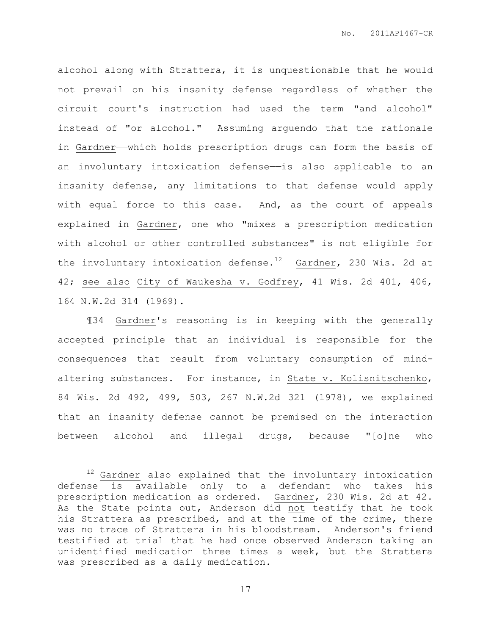alcohol along with Strattera, it is unquestionable that he would not prevail on his insanity defense regardless of whether the circuit court's instruction had used the term "and alcohol" instead of "or alcohol." Assuming arguendo that the rationale in Gardner——which holds prescription drugs can form the basis of an involuntary intoxication defense—is also applicable to an insanity defense, any limitations to that defense would apply with equal force to this case. And, as the court of appeals explained in Gardner, one who "mixes a prescription medication with alcohol or other controlled substances" is not eligible for the involuntary intoxication defense.<sup>12</sup> Gardner, 230 Wis. 2d at 42; see also City of Waukesha v. Godfrey, 41 Wis. 2d 401, 406, 164 N.W.2d 314 (1969).

¶34 Gardner's reasoning is in keeping with the generally accepted principle that an individual is responsible for the consequences that result from voluntary consumption of mindaltering substances. For instance, in State v. Kolisnitschenko, 84 Wis. 2d 492, 499, 503, 267 N.W.2d 321 (1978), we explained that an insanity defense cannot be premised on the interaction between alcohol and illegal drugs, because "[o]ne who

 $\overline{a}$ 

 $12$  Gardner also explained that the involuntary intoxication defense is available only to a defendant who takes his prescription medication as ordered. Gardner, 230 Wis. 2d at 42. As the State points out, Anderson did not testify that he took his Strattera as prescribed, and at the time of the crime, there was no trace of Strattera in his bloodstream. Anderson's friend testified at trial that he had once observed Anderson taking an unidentified medication three times a week, but the Strattera was prescribed as a daily medication.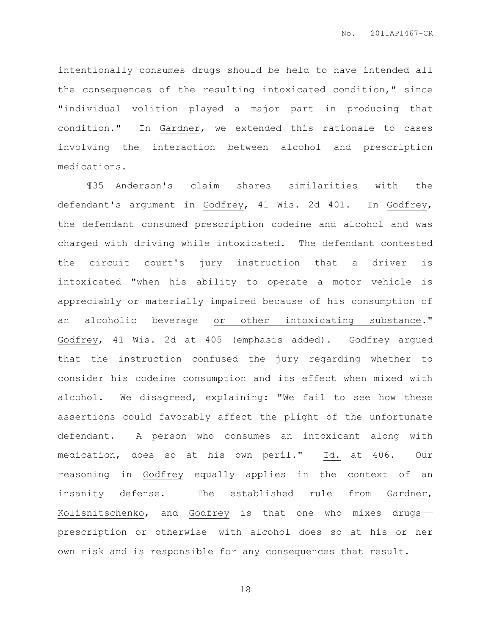intentionally consumes drugs should be held to have intended all the consequences of the resulting intoxicated condition," since "individual volition played a major part in producing that condition." In Gardner, we extended this rationale to cases involving the interaction between alcohol and prescription medications.

¶35 Anderson's claim shares similarities with the defendant's argument in Godfrey, 41 Wis. 2d 401. In Godfrey, the defendant consumed prescription codeine and alcohol and was charged with driving while intoxicated. The defendant contested the circuit court's jury instruction that a driver is intoxicated "when his ability to operate a motor vehicle is appreciably or materially impaired because of his consumption of an alcoholic beverage or other intoxicating substance." Godfrey, 41 Wis. 2d at 405 (emphasis added). Godfrey argued that the instruction confused the jury regarding whether to consider his codeine consumption and its effect when mixed with alcohol. We disagreed, explaining: "We fail to see how these assertions could favorably affect the plight of the unfortunate defendant. A person who consumes an intoxicant along with medication, does so at his own peril." Id. at 406. Our reasoning in Godfrey equally applies in the context of an insanity defense. The established rule from Gardner, Kolisnitschenko, and Godfrey is that one who mixes drugs— prescription or otherwise—with alcohol does so at his or her own risk and is responsible for any consequences that result.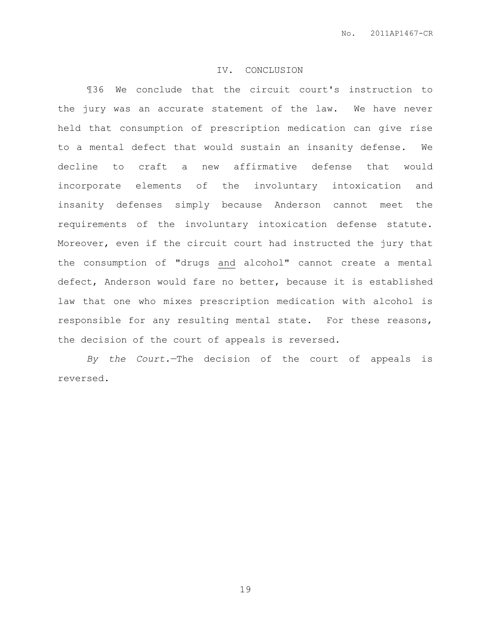### IV. CONCLUSION

¶36 We conclude that the circuit court's instruction to the jury was an accurate statement of the law. We have never held that consumption of prescription medication can give rise to a mental defect that would sustain an insanity defense. We decline to craft a new affirmative defense that would incorporate elements of the involuntary intoxication and insanity defenses simply because Anderson cannot meet the requirements of the involuntary intoxication defense statute. Moreover, even if the circuit court had instructed the jury that the consumption of "drugs and alcohol" cannot create a mental defect, Anderson would fare no better, because it is established law that one who mixes prescription medication with alcohol is responsible for any resulting mental state. For these reasons, the decision of the court of appeals is reversed.

*By the Court.*—The decision of the court of appeals is reversed.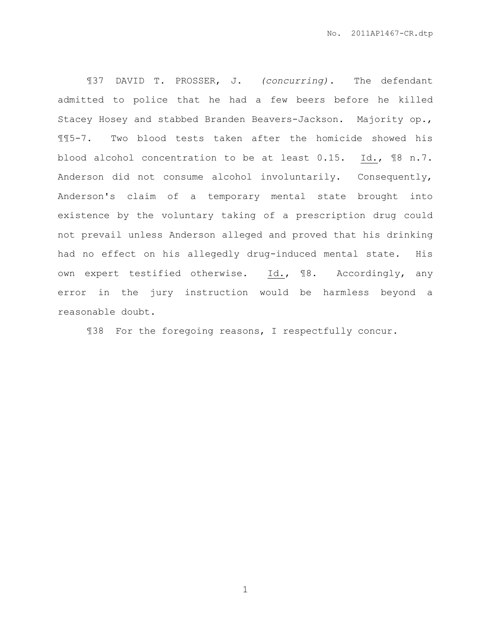¶37 DAVID T. PROSSER, J. *(concurring).* The defendant admitted to police that he had a few beers before he killed Stacey Hosey and stabbed Branden Beavers-Jackson. Majority op., ¶¶5-7. Two blood tests taken after the homicide showed his blood alcohol concentration to be at least 0.15. Id., ¶8 n.7. Anderson did not consume alcohol involuntarily. Consequently, Anderson's claim of a temporary mental state brought into existence by the voluntary taking of a prescription drug could not prevail unless Anderson alleged and proved that his drinking had no effect on his allegedly drug-induced mental state. His own expert testified otherwise. Id., ¶8. Accordingly, any error in the jury instruction would be harmless beyond a reasonable doubt.

¶38 For the foregoing reasons, I respectfully concur.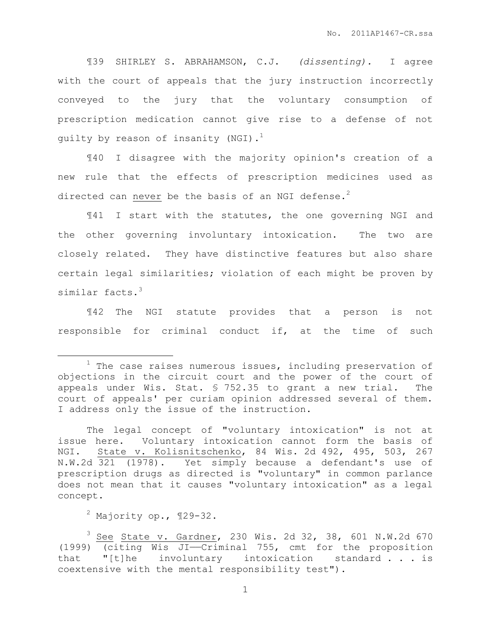¶39 SHIRLEY S. ABRAHAMSON, C.J. *(dissenting).* I agree with the court of appeals that the jury instruction incorrectly conveyed to the jury that the voluntary consumption of prescription medication cannot give rise to a defense of not guilty by reason of insanity (NGI). $<sup>1</sup>$ </sup>

¶40 I disagree with the majority opinion's creation of a new rule that the effects of prescription medicines used as directed can never be the basis of an NGI defense.<sup>2</sup>

¶41 I start with the statutes, the one governing NGI and the other governing involuntary intoxication. The two are closely related. They have distinctive features but also share certain legal similarities; violation of each might be proven by similar facts.<sup>3</sup>

¶42 The NGI statute provides that a person is not responsible for criminal conduct if, at the time of such

 $\overline{a}$ 

 $1$  The case raises numerous issues, including preservation of objections in the circuit court and the power of the court of appeals under Wis. Stat. § 752.35 to grant a new trial. The court of appeals' per curiam opinion addressed several of them. I address only the issue of the instruction.

The legal concept of "voluntary intoxication" is not at issue here. Voluntary intoxication cannot form the basis of NGI. State v. Kolisnitschenko, 84 Wis. 2d 492, 495, 503, 267 N.W.2d 321 (1978). Yet simply because a defendant's use of prescription drugs as directed is "voluntary" in common parlance does not mean that it causes "voluntary intoxication" as a legal concept.

 $2$  Majority op.,  $\P$ 29-32.

 $3$  See State v. Gardner, 230 Wis. 2d 32, 38, 601 N.W.2d 670 (1999) (citing Wis JI——Criminal 755, cmt for the proposition that "[t]he involuntary intoxication standard . . . is coextensive with the mental responsibility test").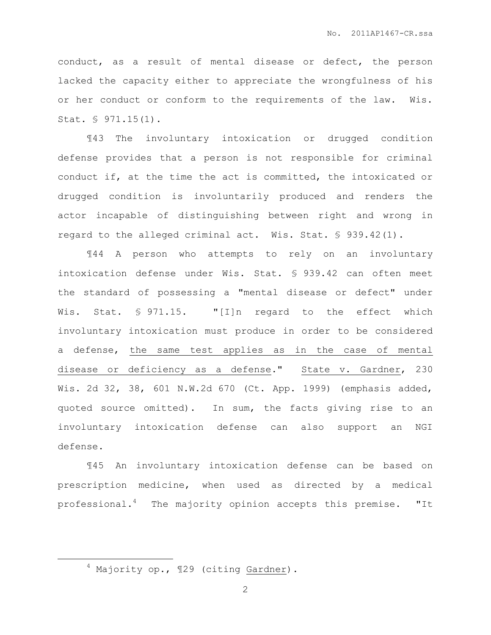conduct, as a result of mental disease or defect, the person lacked the capacity either to appreciate the wrongfulness of his or her conduct or conform to the requirements of the law. Wis. Stat. § 971.15(1).

¶43 The involuntary intoxication or drugged condition defense provides that a person is not responsible for criminal conduct if, at the time the act is committed, the intoxicated or drugged condition is involuntarily produced and renders the actor incapable of distinguishing between right and wrong in regard to the alleged criminal act. Wis. Stat. § 939.42(1).

¶44 A person who attempts to rely on an involuntary intoxication defense under Wis. Stat. § 939.42 can often meet the standard of possessing a "mental disease or defect" under Wis. Stat. § 971.15. "[I]n regard to the effect which involuntary intoxication must produce in order to be considered a defense, the same test applies as in the case of mental disease or deficiency as a defense." State v. Gardner, 230 Wis. 2d 32, 38, 601 N.W.2d 670 (Ct. App. 1999) (emphasis added, quoted source omitted). In sum, the facts giving rise to an involuntary intoxication defense can also support an NGI defense.

¶45 An involuntary intoxication defense can be based on prescription medicine, when used as directed by a medical professional.<sup>4</sup> The majority opinion accepts this premise. "It

 $\overline{a}$ 

<sup>4</sup> Majority op., ¶29 (citing Gardner).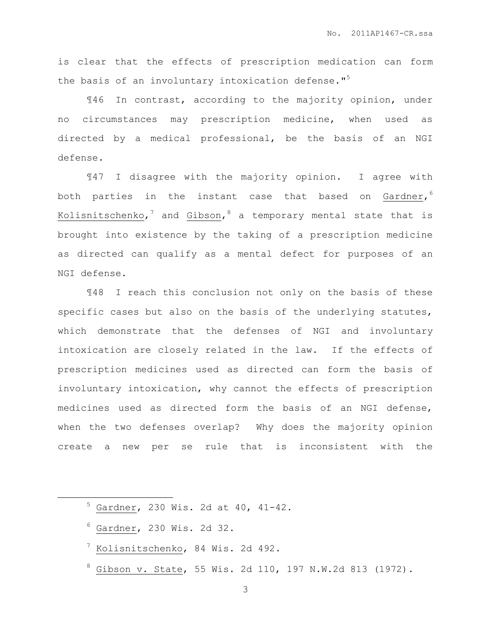is clear that the effects of prescription medication can form the basis of an involuntary intoxication defense."<sup>5</sup>

¶46 In contrast, according to the majority opinion, under no circumstances may prescription medicine, when used as directed by a medical professional, be the basis of an NGI defense.

¶47 I disagree with the majority opinion. I agree with both parties in the instant case that based on Gardner, 6 Kolisnitschenko, $^7$  and Gibson, $^8$  a temporary mental state that is brought into existence by the taking of a prescription medicine as directed can qualify as a mental defect for purposes of an NGI defense.

¶48 I reach this conclusion not only on the basis of these specific cases but also on the basis of the underlying statutes, which demonstrate that the defenses of NGI and involuntary intoxication are closely related in the law. If the effects of prescription medicines used as directed can form the basis of involuntary intoxication, why cannot the effects of prescription medicines used as directed form the basis of an NGI defense, when the two defenses overlap? Why does the majority opinion create a new per se rule that is inconsistent with the

| $5$ Gardner, 230 Wis. 2d at 40, 41-42. |  |  |  |
|----------------------------------------|--|--|--|
| $6$ Gardner, 230 Wis. 2d 32.           |  |  |  |

 $^7$  Kolisnitschenko, 84 Wis. 2d 492.

 $\overline{a}$ 

 $8$  Gibson v. State, 55 Wis. 2d 110, 197 N.W.2d 813 (1972).